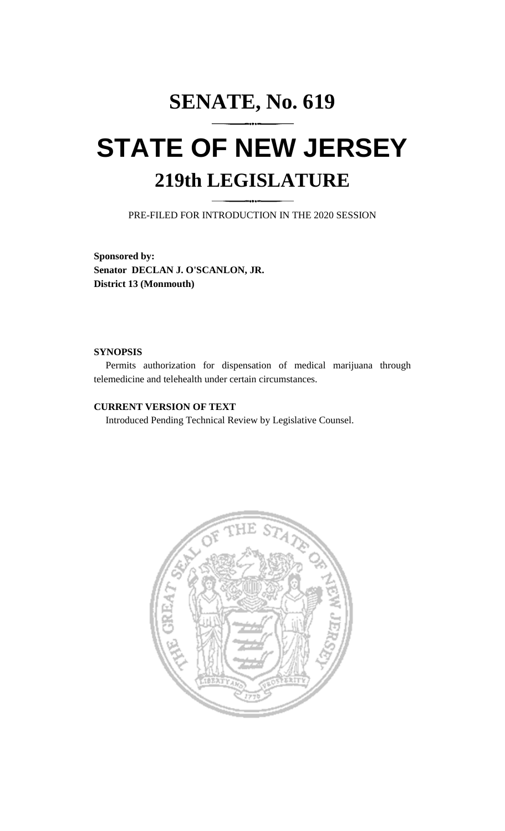## **SENATE, No. 619 STATE OF NEW JERSEY 219th LEGISLATURE**

PRE-FILED FOR INTRODUCTION IN THE 2020 SESSION

**Sponsored by: Senator DECLAN J. O'SCANLON, JR. District 13 (Monmouth)**

## **SYNOPSIS**

Permits authorization for dispensation of medical marijuana through telemedicine and telehealth under certain circumstances.

## **CURRENT VERSION OF TEXT**

Introduced Pending Technical Review by Legislative Counsel.

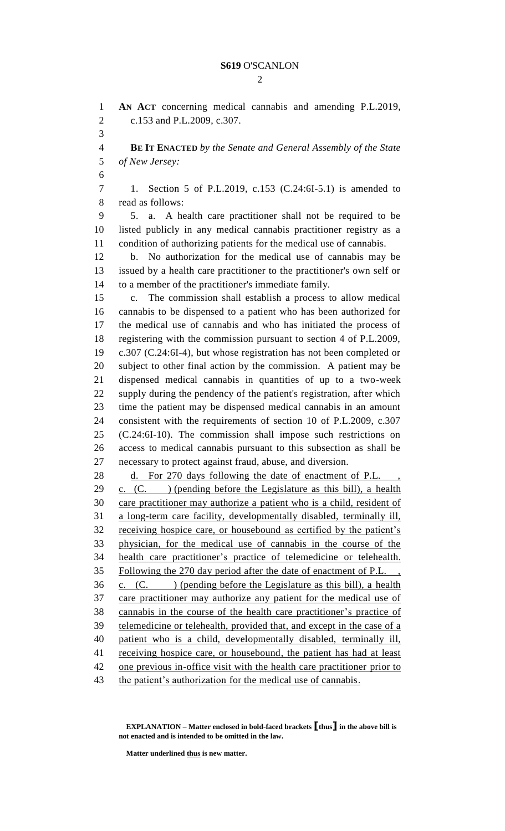$\mathcal{D}_{\mathcal{L}}$ 

 **AN ACT** concerning medical cannabis and amending P.L.2019, c.153 and P.L.2009, c.307. **BE IT ENACTED** *by the Senate and General Assembly of the State of New Jersey:* 1. Section 5 of P.L.2019, c.153 (C.24:6I-5.1) is amended to read as follows: 5. a. A health care practitioner shall not be required to be listed publicly in any medical cannabis practitioner registry as a condition of authorizing patients for the medical use of cannabis. b. No authorization for the medical use of cannabis may be issued by a health care practitioner to the practitioner's own self or to a member of the practitioner's immediate family. c. The commission shall establish a process to allow medical cannabis to be dispensed to a patient who has been authorized for the medical use of cannabis and who has initiated the process of registering with the commission pursuant to section 4 of P.L.2009, c.307 (C.24:6I-4), but whose registration has not been completed or subject to other final action by the commission. A patient may be dispensed medical cannabis in quantities of up to a two-week supply during the pendency of the patient's registration, after which time the patient may be dispensed medical cannabis in an amount consistent with the requirements of section 10 of P.L.2009, c.307 (C.24:6I-10). The commission shall impose such restrictions on access to medical cannabis pursuant to this subsection as shall be necessary to protect against fraud, abuse, and diversion. 28 d. For 270 days following the date of enactment of P.L. c. (C. ) (pending before the Legislature as this bill), a health care practitioner may authorize a patient who is a child, resident of a long-term care facility, developmentally disabled, terminally ill, receiving hospice care, or housebound as certified by the patient's physician, for the medical use of cannabis in the course of the health care practitioner's practice of telemedicine or telehealth. Following the 270 day period after the date of enactment of P.L. ,  $36 \quad \text{c.} \quad \text{(C.)} \quad \text{(pending before the Legislature as this bill)}, \text{a health}$  care practitioner may authorize any patient for the medical use of cannabis in the course of the health care practitioner's practice of 39 telemedicine or telehealth, provided that, and except in the case of a patient who is a child, developmentally disabled, terminally ill, 41 receiving hospice care, or housebound, the patient has had at least one previous in-office visit with the health care practitioner prior to the patient's authorization for the medical use of cannabis.

**Matter underlined thus is new matter.**

**EXPLANATION – Matter enclosed in bold-faced brackets [thus] in the above bill is not enacted and is intended to be omitted in the law.**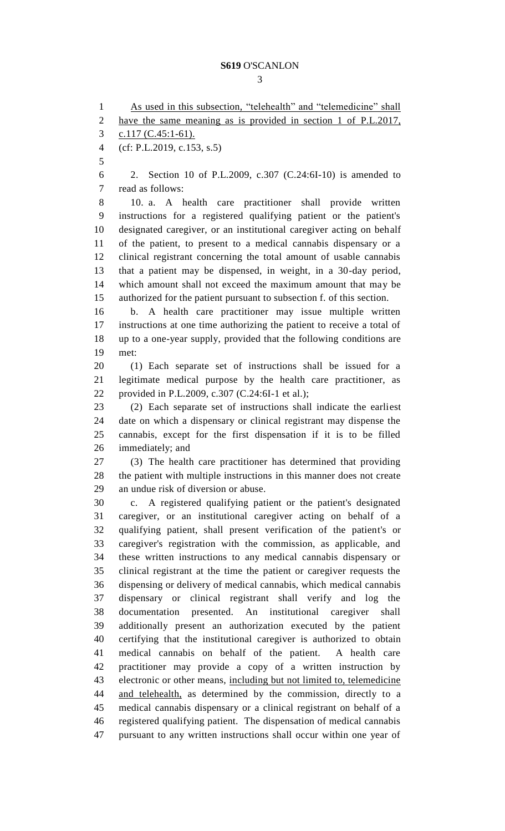## **S619** O'SCANLON

1 As used in this subsection, "telehealth" and "telemedicine" shall have the same meaning as is provided in section 1 of P.L.2017, 3 c.117 (C.45:1-61). (cf: P.L.2019, c.153, s.5) 2. Section 10 of P.L.2009, c.307 (C.24:6I-10) is amended to read as follows: 10. a. A health care practitioner shall provide written instructions for a registered qualifying patient or the patient's designated caregiver, or an institutional caregiver acting on behalf of the patient, to present to a medical cannabis dispensary or a clinical registrant concerning the total amount of usable cannabis that a patient may be dispensed, in weight, in a 30-day period, which amount shall not exceed the maximum amount that may be authorized for the patient pursuant to subsection f. of this section. b. A health care practitioner may issue multiple written instructions at one time authorizing the patient to receive a total of up to a one-year supply, provided that the following conditions are met: (1) Each separate set of instructions shall be issued for a legitimate medical purpose by the health care practitioner, as provided in P.L.2009, c.307 (C.24:6I-1 et al.); (2) Each separate set of instructions shall indicate the earliest date on which a dispensary or clinical registrant may dispense the cannabis, except for the first dispensation if it is to be filled immediately; and (3) The health care practitioner has determined that providing the patient with multiple instructions in this manner does not create an undue risk of diversion or abuse. c. A registered qualifying patient or the patient's designated caregiver, or an institutional caregiver acting on behalf of a qualifying patient, shall present verification of the patient's or caregiver's registration with the commission, as applicable, and these written instructions to any medical cannabis dispensary or clinical registrant at the time the patient or caregiver requests the dispensing or delivery of medical cannabis, which medical cannabis dispensary or clinical registrant shall verify and log the documentation presented. An institutional caregiver shall additionally present an authorization executed by the patient certifying that the institutional caregiver is authorized to obtain medical cannabis on behalf of the patient. A health care practitioner may provide a copy of a written instruction by electronic or other means, including but not limited to, telemedicine and telehealth, as determined by the commission, directly to a medical cannabis dispensary or a clinical registrant on behalf of a registered qualifying patient. The dispensation of medical cannabis pursuant to any written instructions shall occur within one year of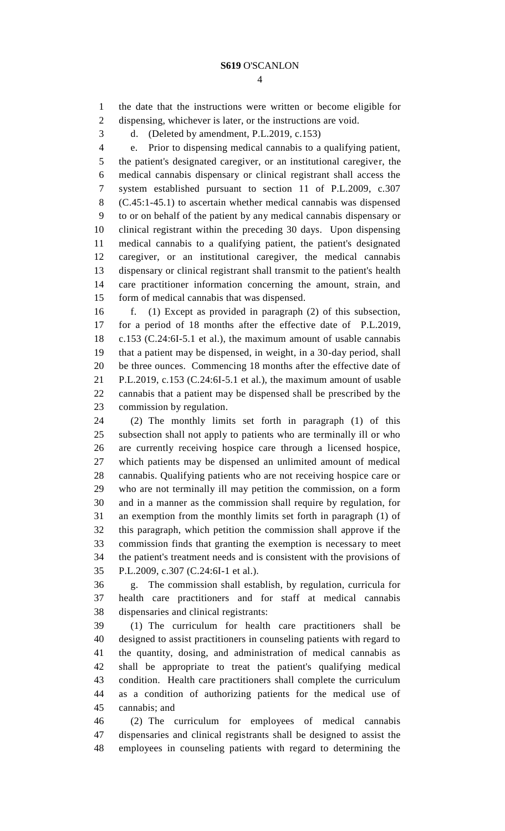the date that the instructions were written or become eligible for dispensing, whichever is later, or the instructions are void.

d. (Deleted by amendment, P.L.2019, c.153)

 e. Prior to dispensing medical cannabis to a qualifying patient, the patient's designated caregiver, or an institutional caregiver, the medical cannabis dispensary or clinical registrant shall access the system established pursuant to section 11 of P.L.2009, c.307 (C.45:1-45.1) to ascertain whether medical cannabis was dispensed to or on behalf of the patient by any medical cannabis dispensary or clinical registrant within the preceding 30 days. Upon dispensing medical cannabis to a qualifying patient, the patient's designated caregiver, or an institutional caregiver, the medical cannabis dispensary or clinical registrant shall transmit to the patient's health care practitioner information concerning the amount, strain, and form of medical cannabis that was dispensed.

 f. (1) Except as provided in paragraph (2) of this subsection, for a period of 18 months after the effective date of P.L.2019, c.153 (C.24:6I-5.1 et al.), the maximum amount of usable cannabis that a patient may be dispensed, in weight, in a 30-day period, shall be three ounces. Commencing 18 months after the effective date of P.L.2019, c.153 (C.24:6I-5.1 et al.), the maximum amount of usable cannabis that a patient may be dispensed shall be prescribed by the commission by regulation.

 (2) The monthly limits set forth in paragraph (1) of this subsection shall not apply to patients who are terminally ill or who are currently receiving hospice care through a licensed hospice, which patients may be dispensed an unlimited amount of medical cannabis. Qualifying patients who are not receiving hospice care or who are not terminally ill may petition the commission, on a form and in a manner as the commission shall require by regulation, for an exemption from the monthly limits set forth in paragraph (1) of this paragraph, which petition the commission shall approve if the commission finds that granting the exemption is necessary to meet the patient's treatment needs and is consistent with the provisions of P.L.2009, c.307 (C.24:6I-1 et al.).

 g. The commission shall establish, by regulation, curricula for health care practitioners and for staff at medical cannabis dispensaries and clinical registrants:

 (1) The curriculum for health care practitioners shall be designed to assist practitioners in counseling patients with regard to the quantity, dosing, and administration of medical cannabis as shall be appropriate to treat the patient's qualifying medical condition. Health care practitioners shall complete the curriculum as a condition of authorizing patients for the medical use of cannabis; and

 (2) The curriculum for employees of medical cannabis dispensaries and clinical registrants shall be designed to assist the employees in counseling patients with regard to determining the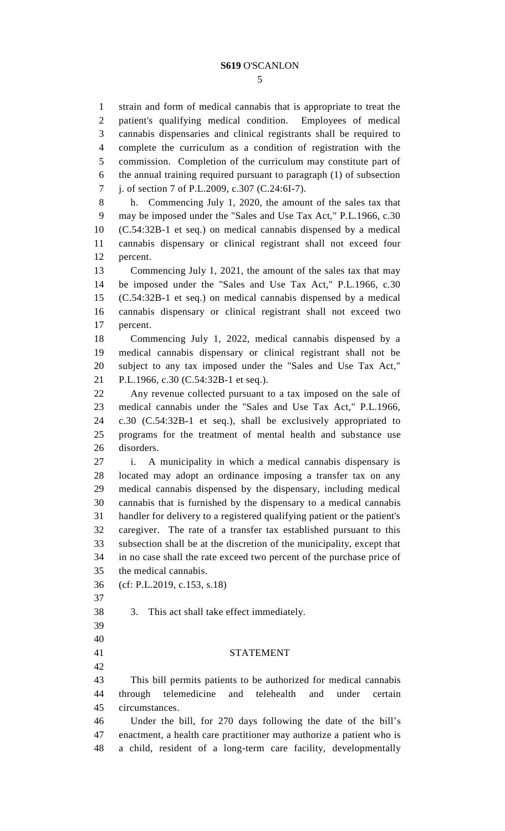strain and form of medical cannabis that is appropriate to treat the

 patient's qualifying medical condition. Employees of medical cannabis dispensaries and clinical registrants shall be required to complete the curriculum as a condition of registration with the commission. Completion of the curriculum may constitute part of the annual training required pursuant to paragraph (1) of subsection j. of section 7 of P.L.2009, c.307 (C.24:6I-7). h. Commencing July 1, 2020, the amount of the sales tax that may be imposed under the "Sales and Use Tax Act," P.L.1966, c.30 (C.54:32B-1 et seq.) on medical cannabis dispensed by a medical cannabis dispensary or clinical registrant shall not exceed four percent. Commencing July 1, 2021, the amount of the sales tax that may be imposed under the "Sales and Use Tax Act," P.L.1966, c.30 (C.54:32B-1 et seq.) on medical cannabis dispensed by a medical cannabis dispensary or clinical registrant shall not exceed two percent. Commencing July 1, 2022, medical cannabis dispensed by a medical cannabis dispensary or clinical registrant shall not be subject to any tax imposed under the "Sales and Use Tax Act," P.L.1966, c.30 (C.54:32B-1 et seq.). Any revenue collected pursuant to a tax imposed on the sale of medical cannabis under the "Sales and Use Tax Act," P.L.1966, c.30 (C.54:32B-1 et seq.), shall be exclusively appropriated to programs for the treatment of mental health and substance use disorders. i. A municipality in which a medical cannabis dispensary is located may adopt an ordinance imposing a transfer tax on any medical cannabis dispensed by the dispensary, including medical cannabis that is furnished by the dispensary to a medical cannabis handler for delivery to a registered qualifying patient or the patient's caregiver. The rate of a transfer tax established pursuant to this subsection shall be at the discretion of the municipality, except that in no case shall the rate exceed two percent of the purchase price of the medical cannabis. (cf: P.L.2019, c.153, s.18) 3. This act shall take effect immediately. STATEMENT This bill permits patients to be authorized for medical cannabis through telemedicine and telehealth and under certain circumstances. Under the bill, for 270 days following the date of the bill's enactment, a health care practitioner may authorize a patient who is a child, resident of a long-term care facility, developmentally